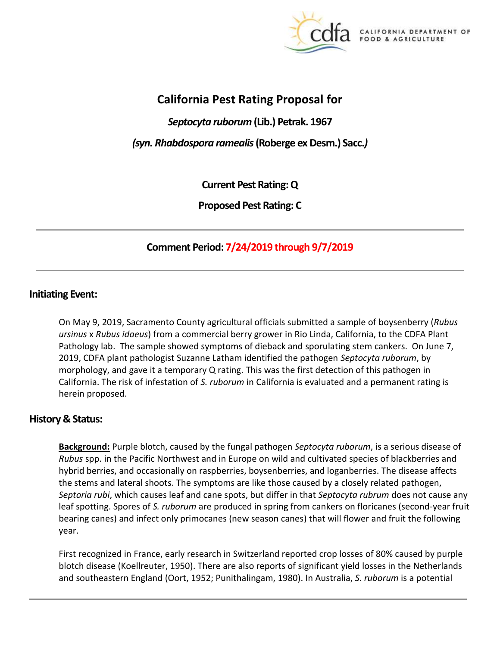

CALIFORNIA DEPARTMENT OF FOOD & AGRICULTURE

# **California Pest Rating Proposal for**

*Septocyta ruborum* **(Lib.) Petrak. 1967**

*(syn. Rhabdospora ramealis* **(Roberge ex Desm.) Sacc.***)*

**Current Pest Rating: Q**

**Proposed Pest Rating: C**

# **Comment Period: 7/24/2019 through 9/7/2019**

### **Initiating Event:**

On May 9, 2019, Sacramento County agricultural officials submitted a sample of boysenberry (*Rubus ursinus* x *Rubus idaeus*) from a commercial berry grower in Rio Linda, California, to the CDFA Plant Pathology lab. The sample showed symptoms of dieback and sporulating stem cankers. On June 7, 2019, CDFA plant pathologist Suzanne Latham identified the pathogen *Septocyta ruborum*, by morphology, and gave it a temporary Q rating. This was the first detection of this pathogen in California. The risk of infestation of *S. ruborum* in California is evaluated and a permanent rating is herein proposed.

# **History & Status:**

**Background:** Purple blotch, caused by the fungal pathogen *Septocyta ruborum*, is a serious disease of *Rubus* spp. in the Pacific Northwest and in Europe on wild and cultivated species of blackberries and hybrid berries, and occasionally on raspberries, boysenberries, and loganberries. The disease affects the stems and lateral shoots. The symptoms are like those caused by a closely related pathogen, *Septoria rubi*, which causes leaf and cane spots, but differ in that *Septocyta rubrum* does not cause any leaf spotting. Spores of *S. ruborum* are produced in spring from cankers on floricanes (second-year fruit bearing canes) and infect only primocanes (new season canes) that will flower and fruit the following year.

First recognized in France, early research in Switzerland reported crop losses of 80% caused by purple blotch disease (Koellreuter, 1950). There are also reports of significant yield losses in the Netherlands and southeastern England (Oort, 1952; Punithalingam, 1980). In Australia, *S. ruborum* is a potential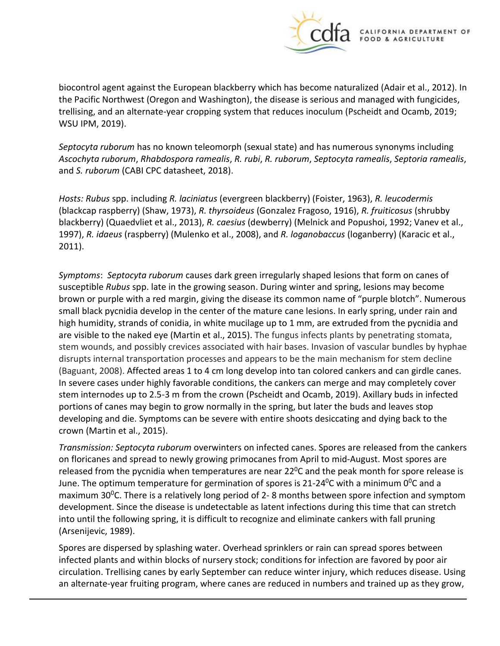

biocontrol agent against the European blackberry which has become naturalized (Adair et al., 2012). In the Pacific Northwest (Oregon and Washington), the disease is serious and managed with fungicides, trellising, and an alternate-year cropping system that reduces inoculum (Pscheidt and Ocamb, 2019; WSU IPM, 2019).

*Septocyta ruborum* has no known teleomorph (sexual state) and has numerous synonyms including *Ascochyta ruborum*, *Rhabdospora ramealis*, *R. rubi*, *R. ruborum*, *Septocyta ramealis*, *Septoria ramealis*, and *S. ruborum* (CABI CPC datasheet, 2018).

*Hosts: Rubus* spp. including *R. laciniatus* (evergreen blackberry) (Foister, 1963), *R. leucodermis* (blackcap raspberry) (Shaw, 1973), *R. thyrsoideus* (Gonzalez Fragoso, 1916), *R. fruiticosus* (shrubby blackberry) (Quaedvliet et al., 2013), *R. caesius* (dewberry) (Melnick and Popushoi, 1992; Vanev et al., 1997), *R. idaeus* (raspberry) (Mulenko et al., 2008), and *R. loganobaccus* (loganberry) (Karacic et al., 2011).

*Symptoms*: *Septocyta ruborum* causes dark green irregularly shaped lesions that form on canes of susceptible *Rubus* spp. late in the growing season. During winter and spring, lesions may become brown or purple with a red margin, giving the disease its common name of "purple blotch". Numerous small black pycnidia develop in the center of the mature cane lesions. In early spring, under rain and high humidity, strands of conidia, in white mucilage up to 1 mm, are extruded from the pycnidia and are visible to the naked eye (Martin et al., 2015). The fungus infects plants by penetrating stomata, stem wounds, and possibly crevices associated with hair bases. Invasion of vascular bundles by hyphae disrupts internal transportation processes and appears to be the main mechanism for stem decline (Baguant, 2008). Affected areas 1 to 4 cm long develop into tan colored cankers and can girdle canes. In severe cases under highly favorable conditions, the cankers can merge and may completely cover stem internodes up to 2.5-3 m from the crown (Pscheidt and Ocamb, 2019). Axillary buds in infected portions of canes may begin to grow normally in the spring, but later the buds and leaves stop developing and die. Symptoms can be severe with entire shoots desiccating and dying back to the crown (Martin et al., 2015).

*Transmission: Septocyta ruborum* overwinters on infected canes. Spores are released from the cankers on floricanes and spread to newly growing primocanes from April to mid-August. Most spores are released from the pycnidia when temperatures are near  $22^{\circ}$ C and the peak month for spore release is June. The optimum temperature for germination of spores is 21-24<sup>o</sup>C with a minimum 0<sup>o</sup>C and a maximum 30<sup>o</sup>C. There is a relatively long period of 2-8 months between spore infection and symptom development. Since the disease is undetectable as latent infections during this time that can stretch into until the following spring, it is difficult to recognize and eliminate cankers with fall pruning (Arsenijevic, 1989).

Spores are dispersed by splashing water. Overhead sprinklers or rain can spread spores between infected plants and within blocks of nursery stock; conditions for infection are favored by poor air circulation. [Trellising](http://ipm.ucanr.edu/PMG/GARDEN/FRUIT/ENVIRON/trellising.html) canes by early September can reduce winter injury, which reduces disease. Using an alternate-year fruiting program, where canes are reduced in numbers and trained up as they grow,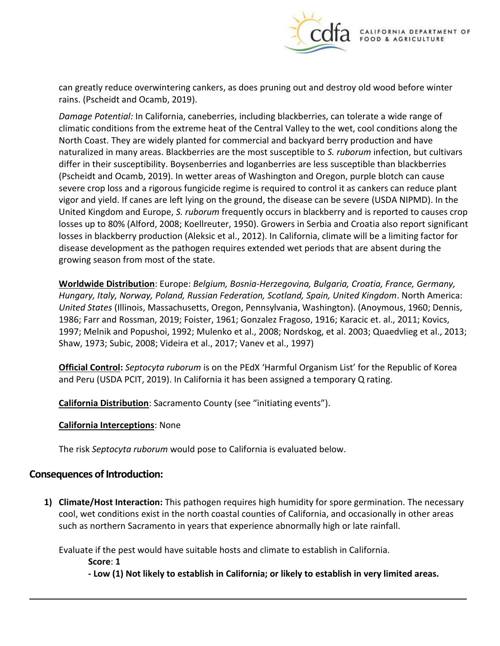

can greatly reduce overwintering cankers, as does pruning out and destroy old wood before winter rains. (Pscheidt and Ocamb, 2019).

*Damage Potential:* In California, caneberries, including blackberries, can tolerate a wide range of climatic conditions from the extreme heat of the Central Valley to the wet, cool conditions along the North Coast. They are widely planted for commercial and backyard berry production and have naturalized in many areas. Blackberries are the most susceptible to *S. ruborum* infection, but cultivars differ in their susceptibility. Boysenberries and loganberries are less susceptible than blackberries (Pscheidt and Ocamb, 2019). In wetter areas of Washington and Oregon, purple blotch can cause severe crop loss and a rigorous fungicide regime is required to control it as cankers can reduce plant vigor and yield. If canes are left lying on the ground, the disease can be severe (USDA NIPMD). In the United Kingdom and Europe, *S. ruborum* frequently occurs in blackberry and is reported to causes crop losses up to 80% (Alford, 2008; Koellreuter, 1950). Growers in Serbia and Croatia also report significant losses in blackberry production (Aleksic et al., 2012). In California, climate will be a limiting factor for disease development as the pathogen requires extended wet periods that are absent during the growing season from most of the state.

**Worldwide Distribution**: Europe: *Belgium, Bosnia-Herzegovina, Bulgaria, Croatia, France, Germany, Hungary, Italy, Norway, Poland, Russian Federation, Scotland, Spain, United Kingdom*. North America: *United States* (Illinois, Massachusetts, Oregon, Pennsylvania, Washington). (Anoymous, 1960; Dennis, 1986; Farr and Rossman, 2019; Foister, 1961; Gonzalez Fragoso, 1916; Karacic et. al., 2011; Kovics, 1997; Melnik and Popushoi, 1992; Mulenko et al., 2008; Nordskog, et al. 2003; Quaedvlieg et al., 2013; Shaw, 1973; Subic, 2008; Videira et al., 2017; Vanev et al., 1997)

**Official Control:** *Septocyta ruborum* is on the PEdX 'Harmful Organism List' for the Republic of Korea and Peru (USDA PCIT, 2019). In California it has been assigned a temporary Q rating.

**California Distribution**: Sacramento County (see "initiating events").

### **California Interceptions**: None

The risk *Septocyta ruborum* would pose to California is evaluated below.

# **Consequences of Introduction:**

**1) Climate/Host Interaction:** This pathogen requires high humidity for spore germination. The necessary cool, wet conditions exist in the north coastal counties of California, and occasionally in other areas such as northern Sacramento in years that experience abnormally high or late rainfall.

Evaluate if the pest would have suitable hosts and climate to establish in California.

**Score**: **1**

**- Low (1) Not likely to establish in California; or likely to establish in very limited areas.**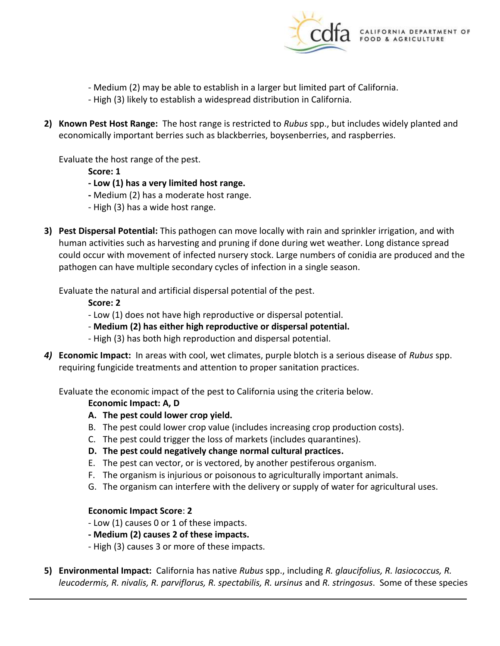

- Medium (2) may be able to establish in a larger but limited part of California.
- High (3) likely to establish a widespread distribution in California.
- **2) Known Pest Host Range:** The host range is restricted to *Rubus* spp., but includes widely planted and economically important berries such as blackberries, boysenberries, and raspberries.

Evaluate the host range of the pest.

**Score: 1**

- **- Low (1) has a very limited host range.**
- **-** Medium (2) has a moderate host range.
- High (3) has a wide host range.
- **3) Pest Dispersal Potential:** This pathogen can move locally with rain and sprinkler irrigation, and with human activities such as harvesting and pruning if done during wet weather. Long distance spread could occur with movement of infected nursery stock. Large numbers of conidia are produced and the pathogen can have multiple secondary cycles of infection in a single season.

Evaluate the natural and artificial dispersal potential of the pest.

**Score: 2**

- Low (1) does not have high reproductive or dispersal potential.
- **Medium (2) has either high reproductive or dispersal potential.**
- High (3) has both high reproduction and dispersal potential.
- *4)* **Economic Impact:** In areas with cool, wet climates, purple blotch is a serious disease of *Rubus* spp. requiring fungicide treatments and attention to proper sanitation practices.

Evaluate the economic impact of the pest to California using the criteria below.

#### **Economic Impact: A, D**

- **A. The pest could lower crop yield.**
- B. The pest could lower crop value (includes increasing crop production costs).
- C. The pest could trigger the loss of markets (includes quarantines).
- **D. The pest could negatively change normal cultural practices.**
- E. The pest can vector, or is vectored, by another pestiferous organism.
- F. The organism is injurious or poisonous to agriculturally important animals.
- G. The organism can interfere with the delivery or supply of water for agricultural uses.

#### **Economic Impact Score**: **2**

- Low (1) causes 0 or 1 of these impacts.
- **- Medium (2) causes 2 of these impacts.**
- High (3) causes 3 or more of these impacts.
- **5) Environmental Impact:** California has native *Rubus* spp., including *R. glaucifolius, R. lasiococcus, R. leucodermis, R. nivalis, R. parviflorus, R. spectabilis, R. ursinus* and *R. stringosus*. Some of these species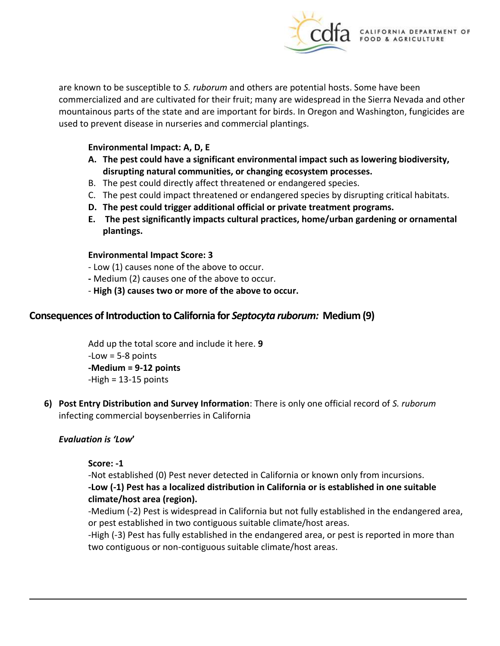

are known to be susceptible to *S. ruborum* and others are potential hosts. Some have been commercialized and are cultivated for their fruit; many are widespread in the Sierra Nevada and other mountainous parts of the state and are important for birds. In Oregon and Washington, fungicides are used to prevent disease in nurseries and commercial plantings.

#### **Environmental Impact: A, D, E**

- **A. The pest could have a significant environmental impact such as lowering biodiversity, disrupting natural communities, or changing ecosystem processes.**
- B. The pest could directly affect threatened or endangered species.
- C. The pest could impact threatened or endangered species by disrupting critical habitats.
- **D. The pest could trigger additional official or private treatment programs.**
- **E. The pest significantly impacts cultural practices, home/urban gardening or ornamental plantings.**

#### **Environmental Impact Score: 3**

- Low (1) causes none of the above to occur.
- **-** Medium (2) causes one of the above to occur.
- **High (3) causes two or more of the above to occur.**

# **Consequences of Introduction to California for** *Septocyta ruborum:* **Medium (9)**

Add up the total score and include it here. **9**  $-Low = 5-8$  points **-Medium = 9-12 points**  $-High = 13-15$  points

**6) Post Entry Distribution and Survey Information**: There is only one official record of *S. ruborum* infecting commercial boysenberries in California

### *Evaluation is 'Low***'**

### **Score: -1**

-Not established (0) Pest never detected in California or known only from incursions.

### **-Low (-1) Pest has a localized distribution in California or is established in one suitable climate/host area (region).**

-Medium (-2) Pest is widespread in California but not fully established in the endangered area, or pest established in two contiguous suitable climate/host areas.

-High (-3) Pest has fully established in the endangered area, or pest is reported in more than two contiguous or non-contiguous suitable climate/host areas.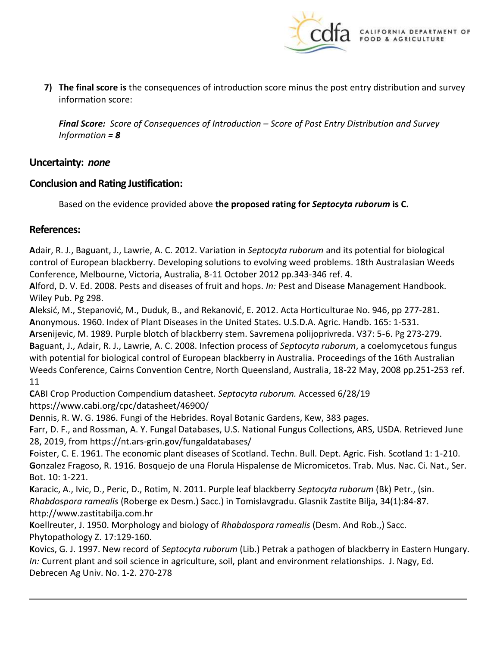

**7) The final score is** the consequences of introduction score minus the post entry distribution and survey information score:

*Final Score: Score of Consequences of Introduction – Score of Post Entry Distribution and Survey Information = 8*

# **Uncertainty:** *none*

## **Conclusion and Rating Justification:**

Based on the evidence provided above **the proposed rating for** *Septocyta ruborum* **is C.**

## **References:**

**A**[dair, R. J.,](https://www.cabdirect.org/cabdirect/search/?q=au%3a%22Adair%2C%20R.%20J.%22) [Baguant, J.,](https://www.cabdirect.org/cabdirect/search/?q=au%3a%22Baguant%2C%20J.%22) [Lawrie, A. C.](https://www.cabdirect.org/cabdirect/search/?q=au%3a%22Lawrie%2C%20A.%20C.%22) 2012. Variation in *Septocyta ruborum* [and its potential for biological](https://www.cabdirect.org/cabdirect/abstract/20123367627?q=(Septocyta+ruborum))  [control of European blackberry.](https://www.cabdirect.org/cabdirect/abstract/20123367627?q=(Septocyta+ruborum)) [Developing solutions to evolving weed problems. 18th Australasian Weeds](https://www.cabdirect.org/cabdirect/search/?q=do%3a%22Developing%20solutions%20to%20evolving%20weed%20problems.%2018th%20Australasian%20Weeds%20Conference%2C%20Melbourne%2C%20Victoria%2C%20Australia%2C%208-11%20October%202012%22)  [Conference, Melbourne, Victoria, Australia, 8-11 October 2012](https://www.cabdirect.org/cabdirect/search/?q=do%3a%22Developing%20solutions%20to%20evolving%20weed%20problems.%2018th%20Australasian%20Weeds%20Conference%2C%20Melbourne%2C%20Victoria%2C%20Australia%2C%208-11%20October%202012%22) pp.343-346 ref. 4.

**A**lford, D. V. Ed. 2008. Pests and diseases of fruit and hops. *In:* Pest and Disease Management Handbook. Wiley Pub. Pg 298.

**A**leksić, M., Stepanović, M., Duduk, B., and Rekanović, E. 2012. Acta Horticulturae No. 946, pp 277-281. **A**nonymous. 1960. Index of Plant Diseases in the United States. U.S.D.A. Agric. Handb. 165: 1-531.

**A**rsenijevic, M. 1989. Purple blotch of blackberry stem. Savremena polijoprivreda. V37: 5-6. Pg 273-279. **B**[aguant, J.,](https://www.cabdirect.org/cabdirect/search/?q=au%3a%22Baguant%2C%20J.%22) [Adair, R. J.,](https://www.cabdirect.org/cabdirect/search/?q=au%3a%22Adair%2C%20R.%20J.%22) [Lawrie, A. C.](https://www.cabdirect.org/cabdirect/search/?q=au%3a%22Lawrie%2C%20A.%20C.%22) 2008. Infection process of *Septocyta ruborum*[, a coelomycetous fungus](https://www.cabdirect.org/cabdirect/abstract/20083307602?q=(Septocyta+ruborum))  [with potential for biological control of European blackberry in Australia.](https://www.cabdirect.org/cabdirect/abstract/20083307602?q=(Septocyta+ruborum)) [Proceedings of the 16th Australian](https://www.cabdirect.org/cabdirect/search/?q=do%3a%22Proceedings%20of%20the%2016th%20Australian%20Weeds%20Conference%2C%20Cairns%20Convention%20Centre%2C%20North%20Queensland%2C%20Australia%2C%2018-22%20May%2C%202008%22)  [Weeds Conference, Cairns Convention Centre, North Queensland, Australia, 18-22 May, 2008](https://www.cabdirect.org/cabdirect/search/?q=do%3a%22Proceedings%20of%20the%2016th%20Australian%20Weeds%20Conference%2C%20Cairns%20Convention%20Centre%2C%20North%20Queensland%2C%20Australia%2C%2018-22%20May%2C%202008%22) pp.251-253 ref. 11

**C**ABI Crop Production Compendium datasheet. *Septocyta ruborum.* Accessed 6/28/19 <https://www.cabi.org/cpc/datasheet/46900/>

**D**ennis, R. W. G. 1986. Fungi of the Hebrides. Royal Botanic Gardens, Kew, 383 pages.

**F**arr, D. F., and Rossman, A. Y. Fungal Databases, U.S. National Fungus Collections, ARS, USDA. Retrieved June 28, 2019, from https://nt.ars-grin.gov/fungaldatabases/

**F**oister, C. E. 1961. The economic plant diseases of Scotland. Techn. Bull. Dept. Agric. Fish. Scotland 1: 1-210. **G**onzalez Fragoso, R. 1916. Bosquejo de una Florula Hispalense de Micromicetos. Trab. Mus. Nac. Ci. Nat., Ser. Bot. 10: 1-221.

**K**aracic, A., Ivic, D., Peric, D., Rotim, N. 2011. Purple leaf [blackberry](file:///F:/pest%20proposals/forWordPress/Karacic,%20A.,%20Ivic,%20D.,%20Peric,%20D.,%20Rotim,%20N.%202011.%20Purple%20leaf%20blackberry%20Septocyta%20ruborum%20(Bk)%20Petr.,%20(sin.%20Rhabdospora%20ramealis%20(Roberge%20ex%20Desm.)%20Sacc.)%20in%20Tomislavgradu.%20Glasnik%20Zastite%20Bilja,%2034(1):84-87.%20http:/www.zastitabilja.com.hr) *Septocyta ruborum* (Bk) Petr., (sin. *Rhabdospora ramealis* (Roberge ex Desm.) Sacc.) in [Tomislavgradu.](file:///F:/pest%20proposals/forWordPress/Karacic,%20A.,%20Ivic,%20D.,%20Peric,%20D.,%20Rotim,%20N.%202011.%20Purple%20leaf%20blackberry%20Septocyta%20ruborum%20(Bk)%20Petr.,%20(sin.%20Rhabdospora%20ramealis%20(Roberge%20ex%20Desm.)%20Sacc.)%20in%20Tomislavgradu.%20Glasnik%20Zastite%20Bilja,%2034(1):84-87.%20http:/www.zastitabilja.com.hr) Glasnik Zastite Bilja, 34(1):84-87. [http://www.zastitabilja.com.hr](file:///F:/pest%20proposals/forWordPress/Karacic,%20A.,%20Ivic,%20D.,%20Peric,%20D.,%20Rotim,%20N.%202011.%20Purple%20leaf%20blackberry%20Septocyta%20ruborum%20(Bk)%20Petr.,%20(sin.%20Rhabdospora%20ramealis%20(Roberge%20ex%20Desm.)%20Sacc.)%20in%20Tomislavgradu.%20Glasnik%20Zastite%20Bilja,%2034(1):84-87.%20http:/www.zastitabilja.com.hr)

**K**oellreuter, J. 1950. Morphology and biology of *Rhabdospora ramealis* (Desm. And Rob.,) Sacc. Phytopathology Z. 17:129-160.

**K**ovics, G. J. 1997. New record of *Septocyta ruborum* (Lib.) Petrak a pathogen of blackberry in Eastern Hungary. *In:* Current plant and soil science in agriculture, soil, plant and environment relationships. J. Nagy, Ed. Debrecen Ag Univ. No. 1-2. 270-278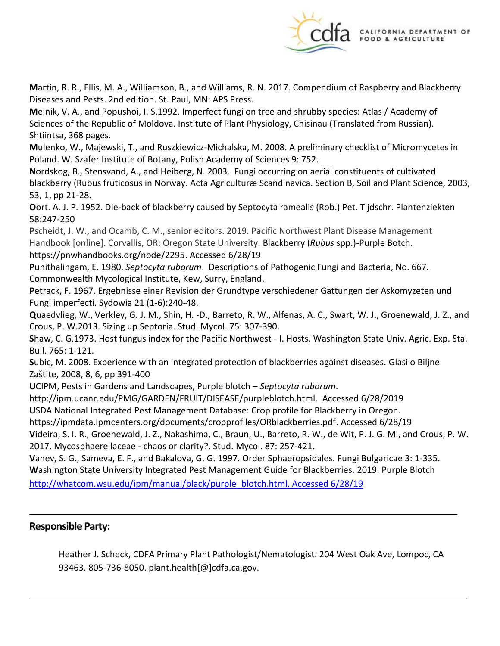

**M**artin, R. R., Ellis, M. A., Williamson, B., and Williams, R. N. 2017. Compendium of Raspberry and Blackberry Diseases and Pests. 2nd edition. St. Paul, MN: APS Press.

**M**elnik, V. A., and Popushoi, I. S.1992. Imperfect fungi on tree and shrubby species: Atlas / Academy of Sciences of the Republic of Moldova. Institute of Plant Physiology, Chisinau (Translated from Russian). Shtiintsa, 368 pages.

**M**ulenko, W., Majewski, T., and Ruszkiewicz-Michalska, M. 2008. A preliminary checklist of Micromycetes in Poland. W. Szafer Institute of Botany, Polish Academy of Sciences 9: 752.

**N**ordskog, B., Stensvand, A., and Heiberg, N. 2003. Fungi occurring on aerial constituents of cultivated blackberry (Rubus fruticosus in Norway. Acta Agriculturæ Scandinavica. Section B, Soil and Plant Science, 2003, 53, 1, pp 21-28.

**O**ort. A. J. P. 1952. Die-back of blackberry caused by Septocyta ramealis (Rob.) Pet. Tijdschr. Plantenziekten 58:247-250

**P**scheidt, J. W., and Ocamb, C. M., senior editors. 2019. Pacific Northwest Plant Disease Management Handbook [online]. Corvallis, OR: Oregon State University. Blackberry (*Rubus* spp.)-Purple Botch. [https://pnwhandbooks.org/node/2295.](https://pnwhandbooks.org/node/2295) Accessed 6/28/19

**P**unithalingam, E. 1980. *Septocyta ruborum*. Descriptions of Pathogenic Fungi and Bacteria, No. 667. Commonwealth Mycological Institute, Kew, Surry, England.

**P**etrack, F. 1967. Ergebnisse einer Revision der Grundtype verschiedener Gattungen der Askomyzeten und Fungi imperfecti. Sydowia 21 (1-6):240-48.

**Q**uaedvlieg, W., Verkley, G. J. M., Shin, H. -D., Barreto, R. W., Alfenas, A. C., Swart, W. J., Groenewald, J. Z., and Crous, P. W.2013. Sizing up Septoria. Stud. Mycol. 75: 307-390.

**S**haw, C. G.1973. Host fungus index for the Pacific Northwest - I. Hosts. Washington State Univ. Agric. Exp. Sta. Bull. 765: 1-121.

**S**ubic, M. 2008. Experience with an integrated protection of blackberries against diseases. Glasilo Biljne Zaštite, 2008, 8, 6, pp 391-400

**U**CIPM, Pests in Gardens and Landscapes, Purple blotch – *Septocyta ruborum*.

[http://ipm.ucanr.edu/PMG/GARDEN/FRUIT/DISEASE/purpleblotch.html.](http://ipm.ucanr.edu/PMG/GARDEN/FRUIT/DISEASE/purpleblotch.html) Accessed 6/28/2019

**U**SDA National Integrated Pest Management Database: Crop profile for Blackberry in Oregon.

[https://ipmdata.ipmcenters.org/documents/cropprofiles/ORblackberries.pdf.](https://ipmdata.ipmcenters.org/documents/cropprofiles/ORblackberries.pdf) Accessed 6/28/19

**V**ideira, S. I. R., Groenewald, J. Z., Nakashima, C., Braun, U., Barreto, R. W., de Wit, P. J. G. M., and Crous, P. W. 2017. Mycosphaerellaceae - chaos or clarity?. Stud. Mycol. 87: 257-421.

**V**anev, S. G., Sameva, E. F., and Bakalova, G. G. 1997. Order Sphaeropsidales. Fungi Bulgaricae 3: 1-335. **W**ashington State University Integrated Pest Management Guide for Blackberries. 2019. Purple Blotch

[http://whatcom.wsu.edu/ipm/manual/black/purple\\_blotch.html. Accessed 6/28/19](http://whatcom.wsu.edu/ipm/manual/black/purple_blotch.html.%20Accessed%206/28/19)

# **Responsible Party:**

Heather J. Scheck, CDFA Primary Plant Pathologist/Nematologist. 204 West Oak Ave, Lompoc, CA 93463. 805-736-8050. plant.health[@]cdfa.ca.gov.